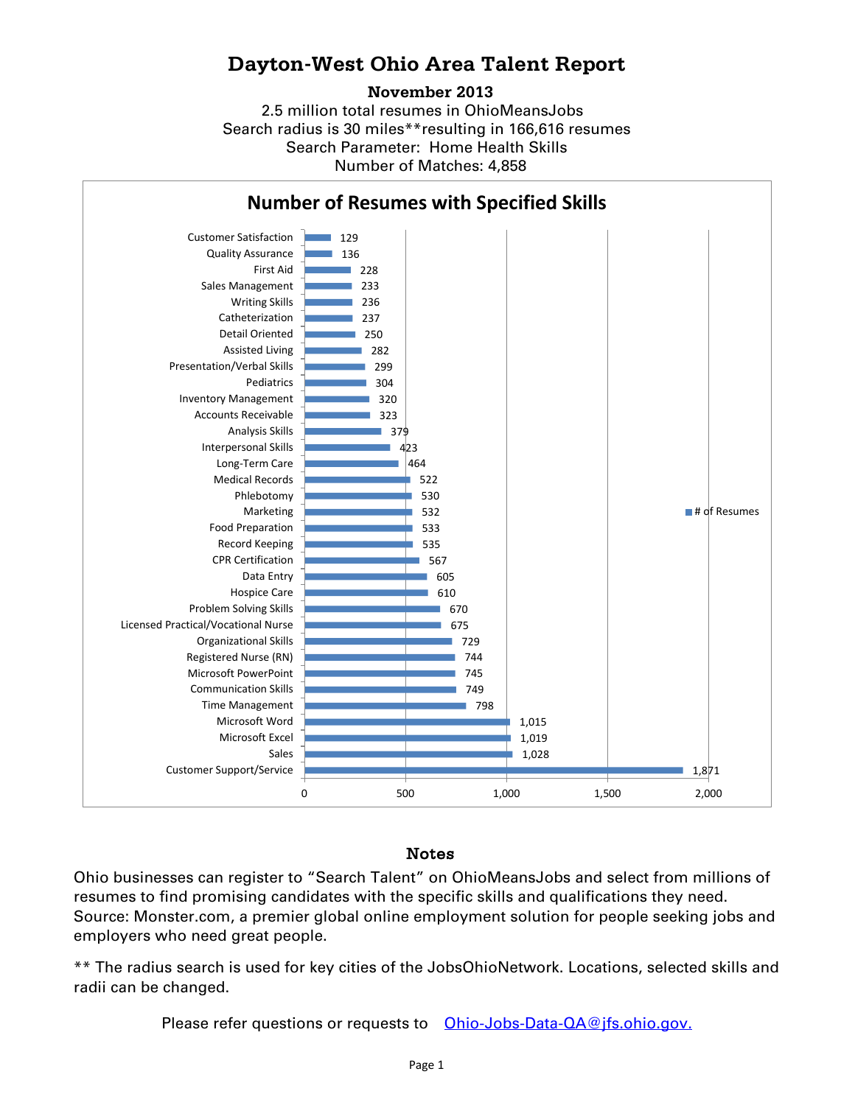## **Dayton-West Ohio Area Talent Report**

## **November 2013**

2.5 million total resumes in OhioMeansJobs Search radius is 30 miles\*\*resulting in 166,616 resumes Number of Matches: 4,858 Search Parameter: Home Health Skills



## Notes

Ohio businesses can register to "Search Talent" on OhioMeansJobs and select from millions of resumes to find promising candidates with the specific skills and qualifications they need. Source: Monster.com, a premier global online employment solution for people seeking jobs and employers who need great people.

\*\* The radius search is used for key cities of the JobsOhioNetwork. Locations, selected skills and radii can be changed.

Please refer questions or requests to [Ohio-Jobs-Data-QA@jfs.ohio.gov.](mailto:Ohio-Jobs-Data-QA@jfs.ohio.gov.)